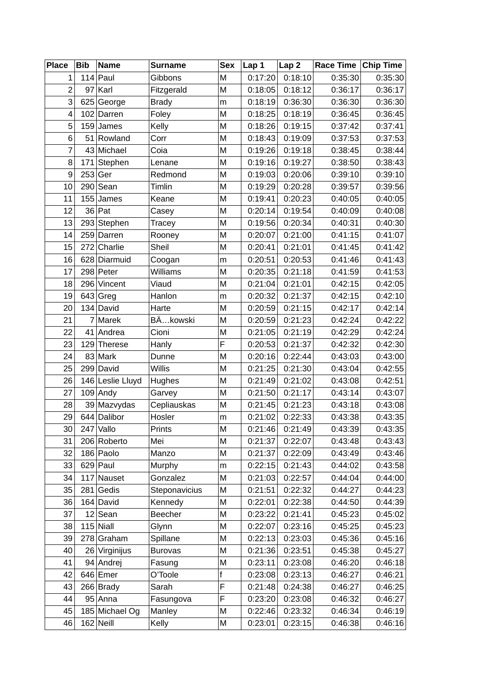| <b>Place</b>   | <b>Bib</b> | <b>Name</b>      | <b>Surname</b> | <b>Sex</b> | Lap 1   | Lap <sub>2</sub> | Race Time Chip Time |         |
|----------------|------------|------------------|----------------|------------|---------|------------------|---------------------|---------|
| 1              |            | $114$ Paul       | Gibbons        | M          | 0:17:20 | 0:18:10          | 0:35:30             | 0:35:30 |
| $\overline{c}$ |            | $97$ Karl        | Fitzgerald     | M          | 0:18:05 | 0:18:12          | 0:36:17             | 0:36:17 |
| 3              | 625        | George           | <b>Brady</b>   | m          | 0:18:19 | 0:36:30          | 0:36:30             | 0:36:30 |
| 4              |            | 102 Darren       | Foley          | M          | 0:18:25 | 0:18:19          | 0:36:45             | 0:36:45 |
| 5              | 159        | James            | Kelly          | Μ          | 0:18:26 | 0:19:15          | 0:37:42             | 0:37:41 |
| 6              |            | 51 Rowland       | Corr           | Μ          | 0:18:43 | 0:19:09          | 0:37:53             | 0:37:53 |
| 7              | 43         | Michael          | Coia           | Μ          | 0:19:26 | 0:19:18          | 0:38:45             | 0:38:44 |
| 8              |            | 171 Stephen      | Lenane         | M          | 0:19:16 | 0:19:27          | 0:38:50             | 0:38:43 |
| 9              |            | $253$ Ger        | Redmond        | Μ          | 0:19:03 | 0:20:06          | 0:39:10             | 0:39:10 |
| 10             |            | $290$ Sean       | Timlin         | Μ          | 0:19:29 | 0:20:28          | 0:39:57             | 0:39:56 |
| 11             |            | $155$ James      | Keane          | Μ          | 0:19:41 | 0:20:23          | 0:40:05             | 0:40:05 |
| 12             |            | 36 Pat           | Casey          | Μ          | 0:20:14 | 0:19:54          | 0:40:09             | 0:40:08 |
| 13             |            | 293 Stephen      | <b>Tracey</b>  | M          | 0:19:56 | 0:20:34          | 0:40:31             | 0:40:30 |
| 14             |            | 259 Darren       | Rooney         | Μ          | 0:20:07 | 0:21:00          | 0:41:15             | 0:41:07 |
| 15             |            | 272 Charlie      | Sheil          | Μ          | 0:20:41 | 0:21:01          | 0:41:45             | 0:41:42 |
| 16             |            | 628 Diarmuid     | Coogan         | m          | 0:20:51 | 0:20:53          | 0:41:46             | 0:41:43 |
| 17             |            | 298 Peter        | Williams       | M          | 0:20:35 | 0:21:18          | 0:41:59             | 0:41:53 |
| 18             |            | 296 Vincent      | Viaud          | Μ          | 0:21:04 | 0:21:01          | 0:42:15             | 0:42:05 |
| 19             |            | $643$ Greg       | Hanlon         | m          | 0:20:32 | 0:21:37          | 0:42:15             | 0:42:10 |
| 20             |            | $134$ David      | Harte          | M          | 0:20:59 | 0:21:15          | 0:42:17             | 0:42:14 |
| 21             |            | 7 Marek          | BÄkowski       | M          | 0:20:59 | 0:21:23          | 0:42:24             | 0:42:22 |
| 22             |            | 41 Andrea        | Cioni          | M          | 0:21:05 | 0:21:19          | 0:42:29             | 0:42:24 |
| 23             |            | 129 Therese      | Hanly          | F          | 0:20:53 | 0:21:37          | 0:42:32             | 0:42:30 |
| 24             |            | 83 Mark          | Dunne          | M          | 0:20:16 | 0:22:44          | 0:43:03             | 0:43:00 |
| 25             | 299        | David            | <b>Willis</b>  | Μ          | 0:21:25 | 0:21:30          | 0:43:04             | 0:42:55 |
| 26             |            | 146 Leslie Lluyd | Hughes         | Μ          | 0:21:49 | 0:21:02          | 0:43:08             | 0:42:51 |
| 27             |            | $109$ Andy       | Garvey         | M          | 0:21:50 | 0:21:17          | 0:43:14             | 0:43:07 |
| 28             |            | 39 Mazvydas      | Cepliauskas    | M          | 0:21:45 | 0:21:23          | 0:43:18             | 0:43:08 |
| 29             |            | 644 Dalibor      | Hosler         | m          | 0:21:02 | 0:22:33          | 0:43:38             | 0:43:35 |
| 30             |            | $247$ Vallo      | Prints         | M          | 0:21:46 | 0:21:49          | 0:43:39             | 0:43:35 |
| 31             |            | 206 Roberto      | Mei            | М          | 0:21:37 | 0:22:07          | 0:43:48             | 0:43:43 |
| 32             |            | 186 Paolo        | Manzo          | М          | 0:21:37 | 0:22:09          | 0:43:49             | 0:43:46 |
| 33             |            | $629$ Paul       | Murphy         | m          | 0:22:15 | 0:21:43          | 0:44:02             | 0:43:58 |
| 34             |            | 117 Nauset       | Gonzalez       | M          | 0:21:03 | 0:22:57          | 0:44:04             | 0:44:00 |
| 35             |            | $281$ Gedis      | Steponavicius  | М          | 0:21:51 | 0:22:32          | 0:44:27             | 0:44:23 |
| 36             |            | $164$ David      | Kennedy        | М          | 0:22:01 | 0:22:38          | 0:44:50             | 0:44:39 |
| 37             |            | $12$ Sean        | Beecher        | М          | 0:23:22 | 0:21:41          | 0:45:23             | 0:45:02 |
| 38             |            | $115$ Niall      | Glynn          | M          | 0:22:07 | 0:23:16          | 0:45:25             | 0:45:23 |
| 39             |            | 278 Graham       | Spillane       | М          | 0:22:13 | 0:23:03          | 0:45:36             | 0:45:16 |
| 40             |            | 26 Virginijus    | <b>Burovas</b> | M          | 0:21:36 | 0:23:51          | 0:45:38             | 0:45:27 |
| 41             |            | 94 Andrej        | Fasung         | М          | 0:23:11 | 0:23:08          | 0:46:20             | 0:46:18 |
| 42             |            | $646$ Emer       | O'Toole        | f          | 0:23:08 | 0:23:13          | 0:46:27             | 0:46:21 |
| 43             |            | $266$ Brady      | Sarah          | F          | 0:21:48 | 0:24:38          | 0:46:27             | 0:46:25 |
| 44             |            | 95 Anna          | Fasungova      | F          | 0:23:20 | 0:23:08          | 0:46:32             | 0:46:27 |
| 45             |            | 185 Michael Og   | Manley         | M          | 0:22:46 | 0:23:32          | 0:46:34             | 0:46:19 |
| 46             |            | $162$ Neill      | Kelly          | М          | 0:23:01 | 0:23:15          | 0:46:38             | 0:46:16 |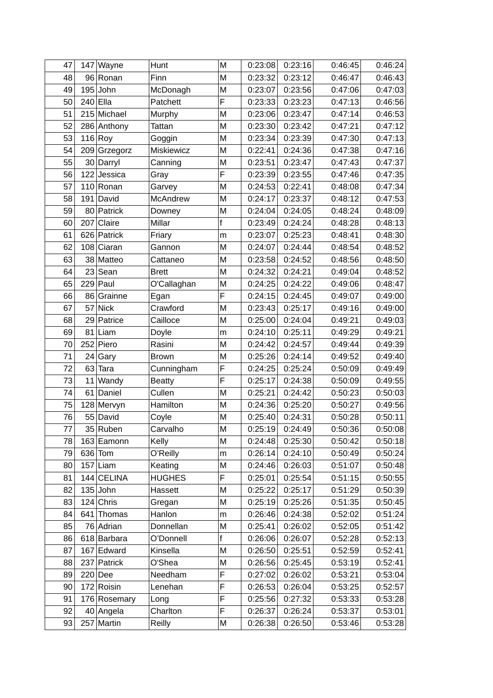| 47 |     | 147 Wayne    | Hunt          | M | 0:23:08 | 0:23:16 | 0:46:45 | 0:46:24 |
|----|-----|--------------|---------------|---|---------|---------|---------|---------|
| 48 |     | 96 Ronan     | Finn          | M | 0:23:32 | 0:23:12 | 0:46:47 | 0:46:43 |
| 49 |     | $195$ John   | McDonagh      | Μ | 0:23:07 | 0:23:56 | 0:47:06 | 0:47:03 |
| 50 |     | $240$ Ella   | Patchett      | F | 0:23:33 | 0:23:23 | 0:47:13 | 0:46:56 |
| 51 |     | 215 Michael  | Murphy        | M | 0:23:06 | 0:23:47 | 0:47:14 | 0:46:53 |
| 52 |     | 286 Anthony  | <b>Tattan</b> | Μ | 0:23:30 | 0:23:42 | 0:47:21 | 0:47:12 |
| 53 |     | 116 Roy      | Goggin        | M | 0:23:34 | 0:23:39 | 0:47:30 | 0:47:13 |
| 54 |     | 209 Grzegorz | Miskiewicz    | Μ | 0:22:41 | 0:24:36 | 0:47:38 | 0:47:16 |
| 55 |     | 30 Darryl    | Canning       | M | 0:23:51 | 0:23:47 | 0:47:43 | 0:47:37 |
| 56 | 122 | Jessica      | Gray          | F | 0:23:39 | 0:23:55 | 0:47:46 | 0:47:35 |
| 57 |     | $110$ Ronan  | Garvey        | M | 0:24:53 | 0:22:41 | 0:48:08 | 0:47:34 |
| 58 |     | 191 David    | McAndrew      | M | 0:24:17 | 0:23:37 | 0:48:12 | 0:47:53 |
| 59 |     | 80 Patrick   | Downey        | Μ | 0:24:04 | 0:24:05 | 0:48:24 | 0:48:09 |
| 60 |     | 207 Claire   | Millar        | f | 0:23:49 | 0:24:24 | 0:48:28 | 0:48:13 |
| 61 |     | 626 Patrick  | Friary        | m | 0:23:07 | 0:25:23 | 0:48:41 | 0:48:30 |
| 62 |     | 108 Ciaran   | Gannon        | M | 0:24:07 | 0:24:44 | 0:48:54 | 0:48:52 |
| 63 |     | 38 Matteo    | Cattaneo      | M | 0:23:58 | 0:24:52 | 0:48:56 | 0:48:50 |
| 64 |     | $23$ Sean    | <b>Brett</b>  | M | 0:24:32 | 0:24:21 | 0:49:04 | 0:48:52 |
| 65 |     | $229$ Paul   | O'Callaghan   | Μ | 0:24:25 | 0:24:22 | 0:49:06 | 0:48:47 |
| 66 |     | 86 Grainne   | Egan          | F | 0:24:15 | 0:24:45 | 0:49:07 | 0:49:00 |
| 67 |     | 57 Nick      | Crawford      | M | 0:23:43 | 0:25:17 | 0:49:16 | 0:49:00 |
| 68 |     | 29 Patrice   | Cailloce      | M | 0:25:00 | 0:24:04 | 0:49:21 | 0:49:03 |
| 69 |     | $81$  Liam   | Doyle         | m | 0:24:10 | 0:25:11 | 0:49:29 | 0:49:21 |
| 70 |     | 252 Piero    | Rasini        | Μ | 0:24:42 | 0:24:57 | 0:49:44 | 0:49:39 |
| 71 | 24  | Gary         | <b>Brown</b>  | M | 0:25:26 | 0:24:14 | 0:49:52 | 0:49:40 |
| 72 |     | $63$ Tara    | Cunningham    | F | 0:24:25 | 0:25:24 | 0:50:09 | 0:49:49 |
| 73 |     | $11$ Wandy   | <b>Beatty</b> | F | 0:25:17 | 0:24:38 | 0:50:09 | 0:49:55 |
| 74 |     | 61 Daniel    | Cullen        | M | 0:25:21 | 0:24:42 | 0:50:23 | 0:50:03 |
| 75 |     | 128 Mervyn   | Hamilton      | M | 0:24:36 | 0:25:20 | 0:50:27 | 0:49:56 |
| 76 |     | 55 David     | Coyle         | M | 0:25:40 | 0:24:31 | 0:50:28 | 0:50:11 |
| 77 |     | 35 Ruben     | Carvalho      | M | 0:25:19 | 0:24:49 | 0:50:36 | 0:50:08 |
| 78 |     | 163 Eamonn   | Kelly         | M | 0:24:48 | 0:25:30 | 0:50:42 | 0:50:18 |
| 79 |     | $636$ Tom    | O'Reilly      | m | 0:26:14 | 0:24:10 | 0:50:49 | 0:50:24 |
| 80 |     | $157$ Liam   | Keating       | M | 0:24:46 | 0:26:03 | 0:51:07 | 0:50:48 |
| 81 |     | 144 CELINA   | <b>HUGHES</b> | F | 0:25:01 | 0:25:54 | 0:51:15 | 0:50:55 |
| 82 |     | $135$ John   | Hassett       | M | 0:25:22 | 0:25:17 | 0:51:29 | 0:50:39 |
| 83 |     | $124$ Chris  | Gregan        | M | 0:25:19 | 0:25:26 | 0:51:35 | 0:50:45 |
| 84 |     | 641 Thomas   | Hanlon        | m | 0:26:46 | 0:24:38 | 0:52:02 | 0:51:24 |
| 85 |     | 76 Adrian    | Donnellan     | М | 0:25:41 | 0:26:02 | 0:52:05 | 0:51:42 |
| 86 |     | 618 Barbara  | O'Donnell     | f | 0:26:06 | 0:26:07 | 0:52:28 | 0:52:13 |
| 87 |     | 167 Edward   | Kinsella      | M | 0:26:50 | 0:25:51 | 0:52:59 | 0:52:41 |
| 88 |     | 237 Patrick  | O'Shea        | М | 0:26:56 | 0:25:45 | 0:53:19 | 0:52:41 |
| 89 |     | $220$ Dee    | Needham       | F | 0:27:02 | 0:26:02 | 0:53:21 | 0:53:04 |
| 90 |     | 172 Roisin   | Lenehan       | F | 0:26:53 | 0:26:04 | 0:53:25 | 0:52:57 |
| 91 |     | 176 Rosemary | Long          | F | 0:25:56 | 0:27:32 | 0:53:33 | 0:53:28 |
| 92 |     | 40 Angela    | Charlton      | F | 0:26:37 | 0:26:24 | 0:53:37 | 0:53:01 |
| 93 |     | $257$ Martin | Reilly        | М | 0:26:38 | 0:26:50 | 0:53:46 | 0:53:28 |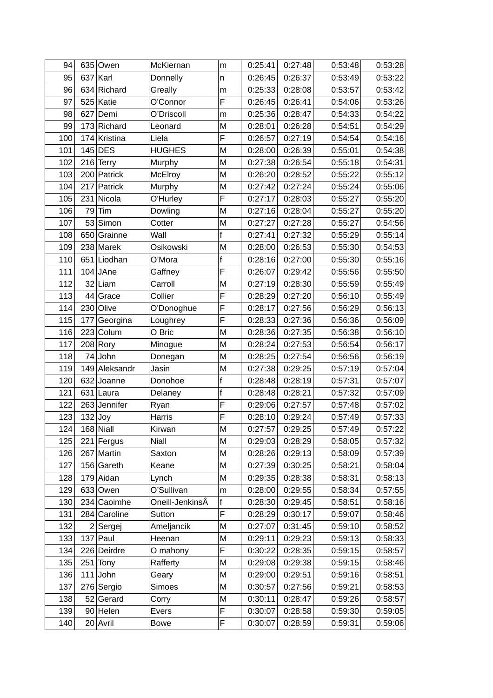| 94  |           | 635 Owen       | McKiernan       | m           | 0:25:41 | 0:27:48 | 0:53:48 | 0:53:28 |
|-----|-----------|----------------|-----------------|-------------|---------|---------|---------|---------|
| 95  |           | $637$ Karl     | Donnelly        | n           | 0:26:45 | 0:26:37 | 0:53:49 | 0:53:22 |
| 96  |           | 634 Richard    | Greally         | m           | 0:25:33 | 0:28:08 | 0:53:57 | 0:53:42 |
| 97  |           | 525 Katie      | O'Connor        | F           | 0:26:45 | 0:26:41 | 0:54:06 | 0:53:26 |
| 98  |           | 627 Demi       | O'Driscoll      | m           | 0:25:36 | 0:28:47 | 0:54:33 | 0:54:22 |
| 99  |           | 173 Richard    | Leonard         | M           | 0:28:01 | 0:26:28 | 0:54:51 | 0:54:29 |
| 100 |           | 174 Kristina   | Liela           | F           | 0:26:57 | 0:27:19 | 0:54:54 | 0:54:16 |
| 101 |           | $145$ DES      | <b>HUGHES</b>   | M           | 0:28:00 | 0:26:39 | 0:55:01 | 0:54:38 |
| 102 |           | $216$ Terry    | Murphy          | M           | 0:27:38 | 0:26:54 | 0:55:18 | 0:54:31 |
| 103 |           | 200 Patrick    | McElroy         | M           | 0:26:20 | 0:28:52 | 0:55:22 | 0:55:12 |
| 104 |           | 217 Patrick    | Murphy          | M           | 0:27:42 | 0:27:24 | 0:55:24 | 0:55:06 |
| 105 |           | 231 Nicola     | O'Hurley        | F           | 0:27:17 | 0:28:03 | 0:55:27 | 0:55:20 |
| 106 |           | $79$ Tim       | Dowling         | M           | 0:27:16 | 0:28:04 | 0:55:27 | 0:55:20 |
| 107 |           | 53 Simon       | Cotter          | M           | 0:27:27 | 0:27:28 | 0:55:27 | 0:54:56 |
| 108 |           | 650 Grainne    | Wall            | f           | 0:27:41 | 0:27:32 | 0:55:29 | 0:55:14 |
| 109 |           | 238 Marek      | Osikowski       | M           | 0:28:00 | 0:26:53 | 0:55:30 | 0:54:53 |
| 110 |           | 651 Liodhan    | O'Mora          | f           | 0:28:16 | 0:27:00 | 0:55:30 | 0:55:16 |
| 111 |           | $104$ JAne     | Gaffney         | F           | 0:26:07 | 0:29:42 | 0:55:56 | 0:55:50 |
| 112 |           | $32$ Liam      | Carroll         | M           | 0:27:19 | 0:28:30 | 0:55:59 | 0:55:49 |
| 113 |           | $44$ Grace     | Collier         | F           | 0:28:29 | 0:27:20 | 0:56:10 | 0:55:49 |
| 114 |           | 230 Olive      | O'Donoghue      | F           | 0:28:17 | 0:27:56 | 0:56:29 | 0:56:13 |
| 115 |           | 177 Georgina   | Loughrey        | F           | 0:28:33 | 0:27:36 | 0:56:36 | 0:56:09 |
| 116 |           | 223 Colum      | O Bric          | M           | 0:28:36 | 0:27:35 | 0:56:38 | 0:56:10 |
| 117 |           | $208$ Rory     | Minogue         | M           | 0:28:24 | 0:27:53 | 0:56:54 | 0:56:17 |
| 118 |           | $74$ John      | Donegan         | M           | 0:28:25 | 0:27:54 | 0:56:56 | 0:56:19 |
| 119 |           | 149 Aleksandr  | Jasin           | M           | 0:27:38 | 0:29:25 | 0:57:19 | 0:57:04 |
| 120 |           | 632 Joanne     | Donohoe         | f           | 0:28:48 | 0:28:19 | 0:57:31 | 0:57:07 |
| 121 |           | $631$ Laura    | Delaney         | f           | 0:28:48 | 0:28:21 | 0:57:32 | 0:57:09 |
| 122 |           | $263$ Jennifer | Ryan            | F           | 0:29:06 | 0:27:57 | 0:57:48 | 0:57:02 |
| 123 | $132$ Joy |                | Harris          | F           | 0:28:10 | 0:29:24 | 0:57:49 | 0:57:33 |
| 124 |           | $168$ Niall    | Kirwan          | M           | 0:27:57 | 0:29:25 | 0:57:49 | 0:57:22 |
| 125 |           | 221 Fergus     | Niall           | M           | 0:29:03 | 0:28:29 | 0:58:05 | 0:57:32 |
| 126 |           | 267 Martin     | Saxton          | М           | 0:28:26 | 0:29:13 | 0:58:09 | 0:57:39 |
| 127 |           | $156$ Gareth   | Keane           | M           | 0:27:39 | 0:30:25 | 0:58:21 | 0:58:04 |
| 128 |           | $179$ Aidan    | Lynch           | М           | 0:29:35 | 0:28:38 | 0:58:31 | 0:58:13 |
| 129 |           | $633$ Owen     | O'Sullivan      | m           | 0:28:00 | 0:29:55 | 0:58:34 | 0:57:55 |
| 130 |           | 234 Caoimhe    | Oneill-JenkinsÂ | $\mathsf f$ | 0:28:30 | 0:29:45 | 0:58:51 | 0:58:16 |
| 131 |           | 284 Caroline   | Sutton          | F           | 0:28:29 | 0:30:17 | 0:59:07 | 0:58:46 |
| 132 |           | 2 Sergej       | Ameljancik      | М           | 0:27:07 | 0:31:45 | 0:59:10 | 0:58:52 |
| 133 |           | $137$ Paul     | Heenan          | М           | 0:29:11 | 0:29:23 | 0:59:13 | 0:58:33 |
| 134 |           | 226 Deirdre    | O mahony        | F           | 0:30:22 | 0:28:35 | 0:59:15 | 0:58:57 |
| 135 |           | $251$ Tony     | Rafferty        | М           | 0:29:08 | 0:29:38 | 0:59:15 | 0:58:46 |
| 136 |           | $111$ John     | Geary           | М           | 0:29:00 | 0:29:51 | 0:59:16 | 0:58:51 |
| 137 |           | 276 Sergio     | <b>Simoes</b>   | М           | 0:30:57 | 0:27:56 | 0:59:21 | 0:58:53 |
| 138 |           | 52 Gerard      | Corry           | M           | 0:30:11 | 0:28:47 | 0:59:26 | 0:58:57 |
| 139 |           | $90$ Helen     | Evers           | F           | 0:30:07 | 0:28:58 | 0:59:30 | 0:59:05 |
| 140 |           | 20 Avril       | <b>Bowe</b>     | F           | 0:30:07 | 0:28:59 | 0:59:31 | 0:59:06 |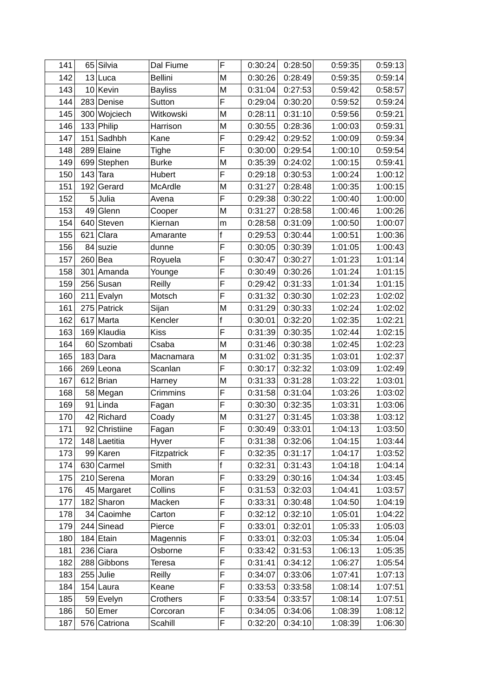| 141 |    | 65 Silvia     | Dal Fiume      | F | 0:30:24 | 0:28:50 | 0:59:35 | 0:59:13 |
|-----|----|---------------|----------------|---|---------|---------|---------|---------|
| 142 |    | $13$ Luca     | <b>Bellini</b> | M | 0:30:26 | 0:28:49 | 0:59:35 | 0:59:14 |
| 143 |    | 10 Kevin      | <b>Bayliss</b> | M | 0:31:04 | 0:27:53 | 0:59:42 | 0:58:57 |
| 144 |    | 283 Denise    | Sutton         | F | 0:29:04 | 0:30:20 | 0:59:52 | 0:59:24 |
| 145 |    | 300 Wojciech  | Witkowski      | M | 0:28:11 | 0:31:10 | 0:59:56 | 0:59:21 |
| 146 |    | 133 Philip    | Harrison       | M | 0:30:55 | 0:28:36 | 1:00:03 | 0:59:31 |
| 147 |    | 151 Sadhbh    | Kane           | F | 0:29:42 | 0:29:52 | 1:00:09 | 0:59:34 |
| 148 |    | 289 Elaine    | Tighe          | F | 0:30:00 | 0:29:54 | 1:00:10 | 0:59:54 |
| 149 |    | 699 Stephen   | <b>Burke</b>   | M | 0:35:39 | 0:24:02 | 1:00:15 | 0:59:41 |
| 150 |    | $143$ Tara    | Hubert         | F | 0:29:18 | 0:30:53 | 1:00:24 | 1:00:12 |
| 151 |    | $192$ Gerard  | McArdle        | M | 0:31:27 | 0:28:48 | 1:00:35 | 1:00:15 |
| 152 |    | 5 Julia       | Avena          | F | 0:29:38 | 0:30:22 | 1:00:40 | 1:00:00 |
| 153 | 49 | Glenn         | Cooper         | M | 0:31:27 | 0:28:58 | 1:00:46 | 1:00:26 |
| 154 |    | 640 Steven    | Kiernan        | m | 0:28:58 | 0:31:09 | 1:00:50 | 1:00:07 |
| 155 |    | 621 Clara     | Amarante       | f | 0:29:53 | 0:30:44 | 1:00:51 | 1:00:36 |
| 156 |    | $84$ suzie    | dunne          | F | 0:30:05 | 0:30:39 | 1:01:05 | 1:00:43 |
| 157 |    | $260$ Bea     | Royuela        | F | 0:30:47 | 0:30:27 | 1:01:23 | 1:01:14 |
| 158 |    | 301 Amanda    | Younge         | F | 0:30:49 | 0:30:26 | 1:01:24 | 1:01:15 |
| 159 |    | 256 Susan     | Reilly         | F | 0:29:42 | 0:31:33 | 1:01:34 | 1:01:15 |
| 160 |    | $211$ Evalyn  | Motsch         | F | 0:31:32 | 0:30:30 | 1:02:23 | 1:02:02 |
| 161 |    | 275 Patrick   | Sijan          | M | 0:31:29 | 0:30:33 | 1:02:24 | 1:02:02 |
| 162 |    | 617 Marta     | Kencler        | f | 0:30:01 | 0:32:20 | 1:02:35 | 1:02:21 |
| 163 |    | 169 Klaudia   | <b>Kiss</b>    | F | 0:31:39 | 0:30:35 | 1:02:44 | 1:02:15 |
| 164 |    | 60 Szombati   | Csaba          | M | 0:31:46 | 0:30:38 | 1:02:45 | 1:02:23 |
| 165 |    | $183$ Dara    | Macnamara      | M | 0:31:02 | 0:31:35 | 1:03:01 | 1:02:37 |
| 166 |    | $269$  Leona  | Scanlan        | F | 0:30:17 | 0:32:32 | 1:03:09 | 1:02:49 |
| 167 |    | $612$ Brian   | Harney         | M | 0:31:33 | 0:31:28 | 1:03:22 | 1:03:01 |
| 168 |    | 58 Megan      | Crimmins       | F | 0:31:58 | 0:31:04 | 1:03:26 | 1:03:02 |
| 169 |    | $91$  Linda   | Fagan          | F | 0:30:30 | 0:32:35 | 1:03:31 | 1:03:06 |
| 170 |    | 42 Richard    | Coady          | M | 0:31:27 | 0:31:45 | 1:03:38 | 1:03:12 |
| 171 |    | 92 Christiine | Fagan          | F | 0:30:49 | 0:33:01 | 1:04:13 | 1:03:50 |
| 172 |    | 148 Laetitia  | Hyver          | F | 0:31:38 | 0:32:06 | 1:04:15 | 1:03:44 |
| 173 |    | 99 Karen      | Fitzpatrick    | F | 0:32:35 | 0:31:17 | 1:04:17 | 1:03:52 |
| 174 |    | 630 Carmel    | Smith          | f | 0:32:31 | 0:31:43 | 1:04:18 | 1:04:14 |
| 175 |    | 210 Serena    | Moran          | F | 0:33:29 | 0:30:16 | 1:04:34 | 1:03:45 |
| 176 |    | 45 Margaret   | Collins        | F | 0:31:53 | 0:32:03 | 1:04:41 | 1:03:57 |
| 177 |    | 182 Sharon    | Macken         | F | 0:33:31 | 0:30:48 | 1:04:50 | 1:04:19 |
| 178 |    | 34 Caoimhe    | Carton         | F | 0:32:12 | 0:32:10 | 1:05:01 | 1:04:22 |
| 179 |    | 244 Sinead    | Pierce         | F | 0:33:01 | 0:32:01 | 1:05:33 | 1:05:03 |
| 180 |    | 184 Etain     | Magennis       | F | 0:33:01 | 0:32:03 | 1:05:34 | 1:05:04 |
| 181 |    | 236 Ciara     | Osborne        | F | 0:33:42 | 0:31:53 | 1:06:13 | 1:05:35 |
| 182 |    | 288 Gibbons   | Teresa         | F | 0:31:41 | 0:34:12 | 1:06:27 | 1:05:54 |
| 183 |    | $255$ Julie   | Reilly         | F | 0:34:07 | 0:33:06 | 1:07:41 | 1:07:13 |
| 184 |    | $154$ Laura   | Keane          | F | 0:33:53 | 0:33:58 | 1:08:14 | 1:07:51 |
| 185 |    | 59 Evelyn     | Crothers       | F | 0:33:54 | 0:33:57 | 1:08:14 | 1:07:51 |
| 186 |    | $50$ Emer     | Corcoran       | F | 0:34:05 | 0:34:06 | 1:08:39 | 1:08:12 |
| 187 |    | 576 Catriona  | Scahill        | F | 0:32:20 | 0:34:10 | 1:08:39 | 1:06:30 |